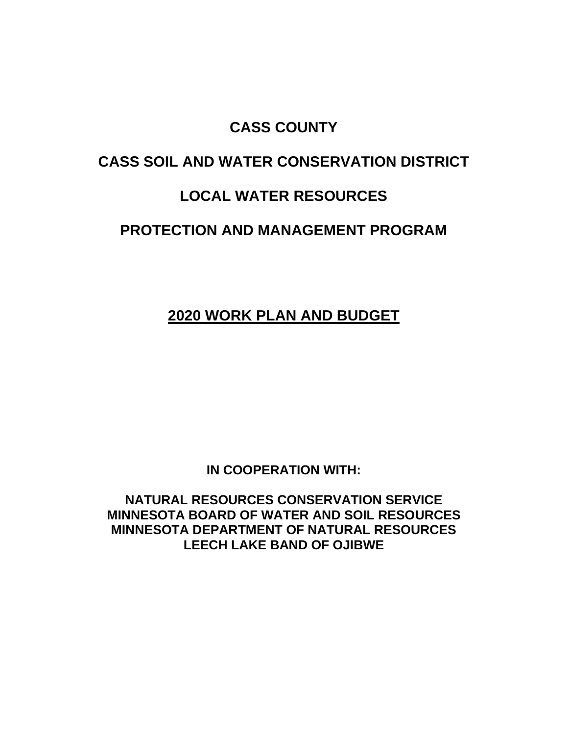# **CASS COUNTY**

# **CASS SOIL AND WATER CONSERVATION DISTRICT**

## **LOCAL WATER RESOURCES**

### **PROTECTION AND MANAGEMENT PROGRAM**

### **2020 WORK PLAN AND BUDGET**

**IN COOPERATION WITH:**

**NATURAL RESOURCES CONSERVATION SERVICE MINNESOTA BOARD OF WATER AND SOIL RESOURCES MINNESOTA DEPARTMENT OF NATURAL RESOURCES LEECH LAKE BAND OF OJIBWE**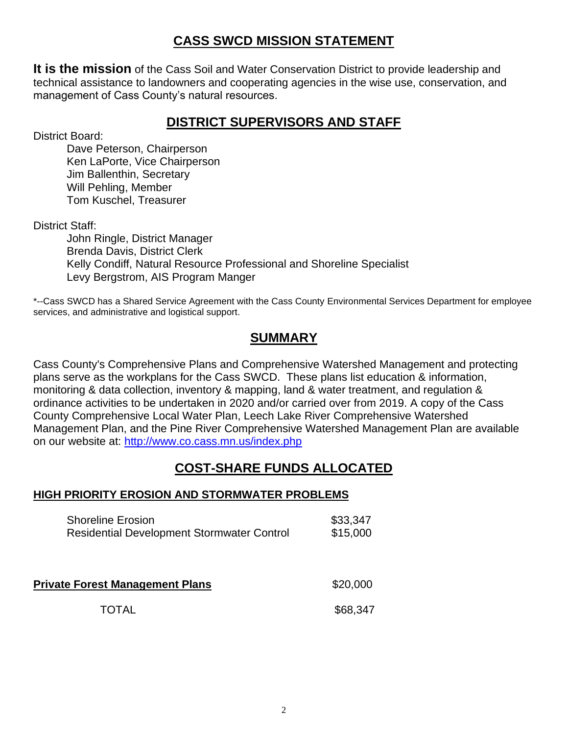### **CASS SWCD MISSION STATEMENT**

**It is the mission** of the Cass Soil and Water Conservation District to provide leadership and technical assistance to landowners and cooperating agencies in the wise use, conservation, and management of Cass County's natural resources.

### **DISTRICT SUPERVISORS AND STAFF**

District Board:

Dave Peterson, Chairperson Ken LaPorte, Vice Chairperson Jim Ballenthin, Secretary Will Pehling, Member Tom Kuschel, Treasurer

District Staff:

John Ringle, District Manager Brenda Davis, District Clerk Kelly Condiff, Natural Resource Professional and Shoreline Specialist Levy Bergstrom, AIS Program Manger

\*--Cass SWCD has a Shared Service Agreement with the Cass County Environmental Services Department for employee services, and administrative and logistical support.

### **SUMMARY**

Cass County's Comprehensive Plans and Comprehensive Watershed Management and protecting plans serve as the workplans for the Cass SWCD. These plans list education & information, monitoring & data collection, inventory & mapping, land & water treatment, and regulation & ordinance activities to be undertaken in 2020 and/or carried over from 2019. A copy of the Cass County Comprehensive Local Water Plan, Leech Lake River Comprehensive Watershed Management Plan, and the Pine River Comprehensive Watershed Management Plan are available on our website at: <http://www.co.cass.mn.us/index.php>

# **COST-SHARE FUNDS ALLOCATED**

### **HIGH PRIORITY EROSION AND STORMWATER PROBLEMS**

| <b>Shoreline Erosion</b>                          | \$33,347 |
|---------------------------------------------------|----------|
| <b>Residential Development Stormwater Control</b> | \$15,000 |

**Private Forest Management Plans 1998 520,000** 

TOTAL \$68.347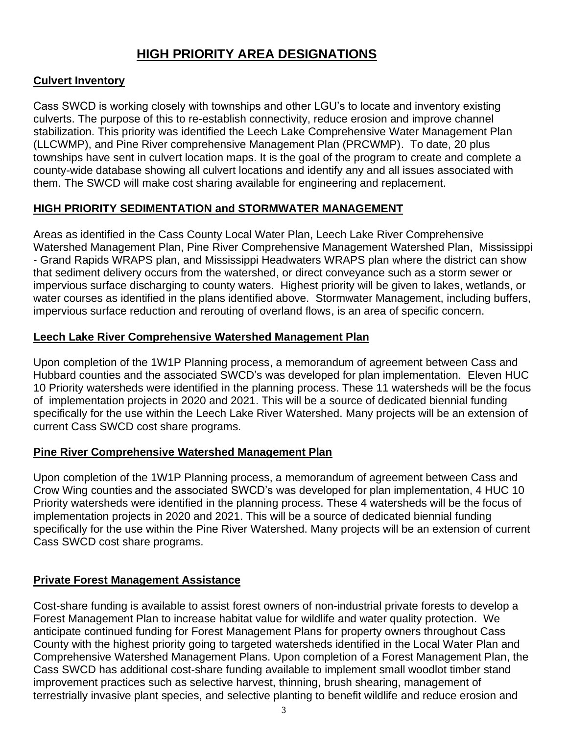### **HIGH PRIORITY AREA DESIGNATIONS**

### **Culvert Inventory**

Cass SWCD is working closely with townships and other LGU's to locate and inventory existing culverts. The purpose of this to re-establish connectivity, reduce erosion and improve channel stabilization. This priority was identified the Leech Lake Comprehensive Water Management Plan (LLCWMP), and Pine River comprehensive Management Plan (PRCWMP). To date, 20 plus townships have sent in culvert location maps. It is the goal of the program to create and complete a county-wide database showing all culvert locations and identify any and all issues associated with them. The SWCD will make cost sharing available for engineering and replacement.

#### **HIGH PRIORITY SEDIMENTATION and STORMWATER MANAGEMENT**

Areas as identified in the Cass County Local Water Plan, Leech Lake River Comprehensive Watershed Management Plan, Pine River Comprehensive Management Watershed Plan, Mississippi - Grand Rapids WRAPS plan, and Mississippi Headwaters WRAPS plan where the district can show that sediment delivery occurs from the watershed, or direct conveyance such as a storm sewer or impervious surface discharging to county waters. Highest priority will be given to lakes, wetlands, or water courses as identified in the plans identified above. Stormwater Management, including buffers, impervious surface reduction and rerouting of overland flows, is an area of specific concern.

#### **Leech Lake River Comprehensive Watershed Management Plan**

Upon completion of the 1W1P Planning process, a memorandum of agreement between Cass and Hubbard counties and the associated SWCD's was developed for plan implementation. Eleven HUC 10 Priority watersheds were identified in the planning process. These 11 watersheds will be the focus of implementation projects in 2020 and 2021. This will be a source of dedicated biennial funding specifically for the use within the Leech Lake River Watershed. Many projects will be an extension of current Cass SWCD cost share programs.

#### **Pine River Comprehensive Watershed Management Plan**

Upon completion of the 1W1P Planning process, a memorandum of agreement between Cass and Crow Wing counties and the associated SWCD's was developed for plan implementation, 4 HUC 10 Priority watersheds were identified in the planning process. These 4 watersheds will be the focus of implementation projects in 2020 and 2021. This will be a source of dedicated biennial funding specifically for the use within the Pine River Watershed. Many projects will be an extension of current Cass SWCD cost share programs.

#### **Private Forest Management Assistance**

Cost-share funding is available to assist forest owners of non-industrial private forests to develop a Forest Management Plan to increase habitat value for wildlife and water quality protection. We anticipate continued funding for Forest Management Plans for property owners throughout Cass County with the highest priority going to targeted watersheds identified in the Local Water Plan and Comprehensive Watershed Management Plans. Upon completion of a Forest Management Plan, the Cass SWCD has additional cost-share funding available to implement small woodlot timber stand improvement practices such as selective harvest, thinning, brush shearing, management of terrestrially invasive plant species, and selective planting to benefit wildlife and reduce erosion and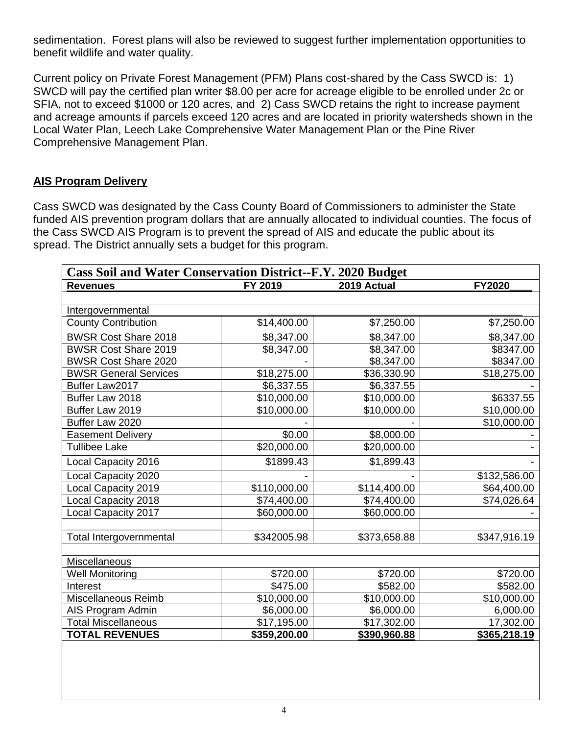sedimentation. Forest plans will also be reviewed to suggest further implementation opportunities to benefit wildlife and water quality.

Current policy on Private Forest Management (PFM) Plans cost-shared by the Cass SWCD is: 1) SWCD will pay the certified plan writer \$8.00 per acre for acreage eligible to be enrolled under 2c or SFIA, not to exceed \$1000 or 120 acres, and 2) Cass SWCD retains the right to increase payment and acreage amounts if parcels exceed 120 acres and are located in priority watersheds shown in the Local Water Plan, Leech Lake Comprehensive Water Management Plan or the Pine River Comprehensive Management Plan.

### **AIS Program Delivery**

Cass SWCD was designated by the Cass County Board of Commissioners to administer the State funded AIS prevention program dollars that are annually allocated to individual counties. The focus of the Cass SWCD AIS Program is to prevent the spread of AIS and educate the public about its spread. The District annually sets a budget for this program.

| <b>Cass Soil and Water Conservation District--F.Y. 2020 Budget</b><br><b>Revenues</b> | FY 2019                 | 2019 Actual            | FY2020       |
|---------------------------------------------------------------------------------------|-------------------------|------------------------|--------------|
|                                                                                       |                         |                        |              |
| Intergovernmental                                                                     |                         |                        |              |
| <b>County Contribution</b>                                                            | \$14,400.00             | \$7,250.00             | \$7,250.00   |
| <b>BWSR Cost Share 2018</b>                                                           | \$8,347.00              | \$8,347.00             | \$8,347.00   |
| <b>BWSR Cost Share 2019</b>                                                           | \$8,347.00              | \$8,347.00             | \$8347.00    |
| <b>BWSR Cost Share 2020</b>                                                           |                         | \$8,347.00             | \$8347.00    |
| <b>BWSR General Services</b>                                                          | \$18,275.00             | \$36,330.90            | \$18,275.00  |
| Buffer Law2017                                                                        | \$6,337.55              | \$6,337.55             |              |
| Buffer Law 2018                                                                       | \$10,000.00             | \$10,000.00            | \$6337.55    |
| Buffer Law 2019                                                                       | \$10,000.00             | \$10,000.00            | \$10,000.00  |
| Buffer Law 2020                                                                       |                         |                        | \$10,000.00  |
| <b>Easement Delivery</b>                                                              | \$0.00                  | \$8,000.00             |              |
| <b>Tullibee Lake</b>                                                                  | $\overline{$20,000.00}$ | \$20,000.00            |              |
| Local Capacity 2016                                                                   | \$1899.43               | \$1,899.43             |              |
| Local Capacity 2020                                                                   |                         |                        | \$132,586.00 |
| Local Capacity 2019                                                                   | \$110,000.00            | \$114,400.00           | \$64,400.00  |
| Local Capacity 2018                                                                   | \$74,400.00             | \$74,400.00            | \$74,026.64  |
| Local Capacity 2017                                                                   | \$60,000.00             | \$60,000.00            |              |
| Total Intergovernmental                                                               | \$342005.98             | \$373,658.88           | \$347,916.19 |
| Miscellaneous                                                                         |                         |                        |              |
| <b>Well Monitoring</b>                                                                | \$720.00                | \$720.00               | \$720.00     |
| Interest                                                                              | \$475.00                | \$582.00               | \$582.00     |
| Miscellaneous Reimb                                                                   | \$10,000.00             | \$10,000.00            | \$10,000.00  |
| AIS Program Admin                                                                     | \$6,000.00              | $\overline{$6,000.00}$ | 6,000.00     |
| <b>Total Miscellaneous</b>                                                            | \$17,195.00             | \$17,302.00            | 17,302.00    |
| <b>TOTAL REVENUES</b>                                                                 | \$359,200.00            | \$390,960.88           | \$365,218.19 |
|                                                                                       |                         |                        |              |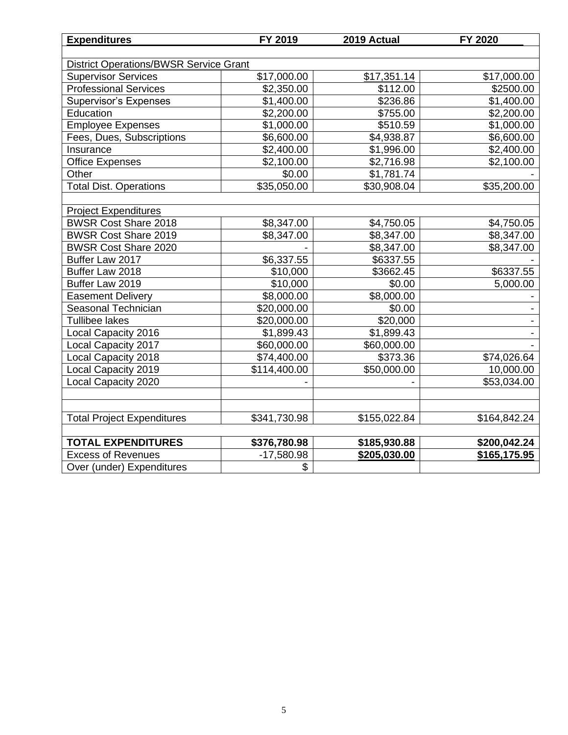| <b>Expenditures</b>                           | FY 2019                  | 2019 Actual  | FY 2020      |
|-----------------------------------------------|--------------------------|--------------|--------------|
|                                               |                          |              |              |
| <b>District Operations/BWSR Service Grant</b> |                          |              |              |
| <b>Supervisor Services</b>                    | $\overline{$17,000.00}$  | \$17,351.14  | \$17,000.00  |
| <b>Professional Services</b>                  | \$2,350.00               | \$112.00     | \$2500.00    |
| <b>Supervisor's Expenses</b>                  | \$1,400.00               | \$236.86     | \$1,400.00   |
| Education                                     | \$2,200.00               | \$755.00     | \$2,200.00   |
| <b>Employee Expenses</b>                      | \$1,000.00               | \$510.59     | \$1,000.00   |
| Fees, Dues, Subscriptions                     | \$6,600.00               | \$4,938.87   | \$6,600.00   |
| Insurance                                     | \$2,400.00               | \$1,996.00   | \$2,400.00   |
| <b>Office Expenses</b>                        | \$2,100.00               | \$2,716.98   | \$2,100.00   |
| Other                                         | \$0.00                   | \$1,781.74   |              |
| <b>Total Dist. Operations</b>                 | \$35,050.00              | \$30,908.04  | \$35,200.00  |
|                                               |                          |              |              |
| <b>Project Expenditures</b>                   |                          |              |              |
| <b>BWSR Cost Share 2018</b>                   | \$8,347.00               | \$4,750.05   | \$4,750.05   |
| <b>BWSR Cost Share 2019</b>                   | \$8,347.00               | \$8,347.00   | \$8,347.00   |
| <b>BWSR Cost Share 2020</b>                   |                          | \$8,347.00   | \$8,347.00   |
| Buffer Law 2017                               | \$6,337.55               | \$6337.55    |              |
| Buffer Law 2018                               | \$10,000                 | \$3662.45    | \$6337.55    |
| Buffer Law 2019                               | \$10,000                 | \$0.00       | 5,000.00     |
| <b>Easement Delivery</b>                      | \$8,000.00               | \$8,000.00   |              |
| Seasonal Technician                           | \$20,000.00              | \$0.00       |              |
| <b>Tullibee lakes</b>                         | \$20,000.00              | \$20,000     |              |
| Local Capacity 2016                           | \$1,899.43               | \$1,899.43   |              |
| ocal Capacity 2017                            | \$60,000.00              | \$60,000.00  |              |
| Local Capacity 2018                           | \$74,400.00              | \$373.36     | \$74,026.64  |
| Local Capacity 2019                           | \$114,400.00             | \$50,000.00  | 10,000.00    |
| Local Capacity 2020                           |                          |              | \$53,034.00  |
|                                               |                          |              |              |
|                                               |                          |              |              |
| <b>Total Project Expenditures</b>             | $\overline{$}341,730.98$ | \$155,022.84 | \$164,842.24 |
|                                               |                          |              |              |
| <b>TOTAL EXPENDITURES</b>                     | \$376,780.98             | \$185,930.88 | \$200,042.24 |
| <b>Excess of Revenues</b>                     | $-17,580.98$             | \$205,030.00 | \$165,175.95 |
| Over (under) Expenditures                     | \$                       |              |              |